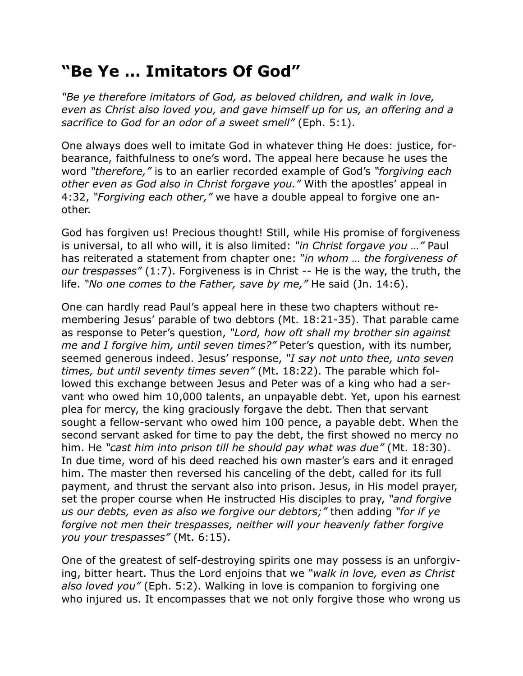## **"Be Ye … Imitators Of God"**

*"Be ye therefore imitators of God, as beloved children, and walk in love, even as Christ also loved you, and gave himself up for us, an offering and a sacrifice to God for an odor of a sweet smell"* (Eph. 5:1).

One always does well to imitate God in whatever thing He does: justice, forbearance, faithfulness to one's word. The appeal here because he uses the word *"therefore,"* is to an earlier recorded example of God's *"forgiving each other even as God also in Christ forgave you."* With the apostles' appeal in 4:32, *"Forgiving each other,"* we have a double appeal to forgive one another.

God has forgiven us! Precious thought! Still, while His promise of forgiveness is universal, to all who will, it is also limited: *"in Christ forgave you …"* Paul has reiterated a statement from chapter one: *"in whom … the forgiveness of our trespasses"* (1:7). Forgiveness is in Christ -- He is the way, the truth, the life. *"No one comes to the Father, save by me,"* He said (Jn. 14:6).

One can hardly read Paul's appeal here in these two chapters without remembering Jesus' parable of two debtors (Mt. 18:21-35). That parable came as response to Peter's question, *"Lord, how oft shall my brother sin against me and I forgive him, until seven times?"* Peter's question, with its number, seemed generous indeed. Jesus' response, *"I say not unto thee, unto seven times, but until seventy times seven"* (Mt. 18:22). The parable which followed this exchange between Jesus and Peter was of a king who had a servant who owed him 10,000 talents, an unpayable debt. Yet, upon his earnest plea for mercy, the king graciously forgave the debt. Then that servant sought a fellow-servant who owed him 100 pence, a payable debt. When the second servant asked for time to pay the debt, the first showed no mercy no him. He *"cast him into prison till he should pay what was due"* (Mt. 18:30). In due time, word of his deed reached his own master's ears and it enraged him. The master then reversed his canceling of the debt, called for its full payment, and thrust the servant also into prison. Jesus, in His model prayer, set the proper course when He instructed His disciples to pray, *"and forgive us our debts, even as also we forgive our debtors;"* then adding *"for if ye forgive not men their trespasses, neither will your heavenly father forgive you your trespasses"* (Mt. 6:15).

One of the greatest of self-destroying spirits one may possess is an unforgiving, bitter heart. Thus the Lord enjoins that we *"walk in love, even as Christ also loved you"* (Eph. 5:2). Walking in love is companion to forgiving one who injured us. It encompasses that we not only forgive those who wrong us